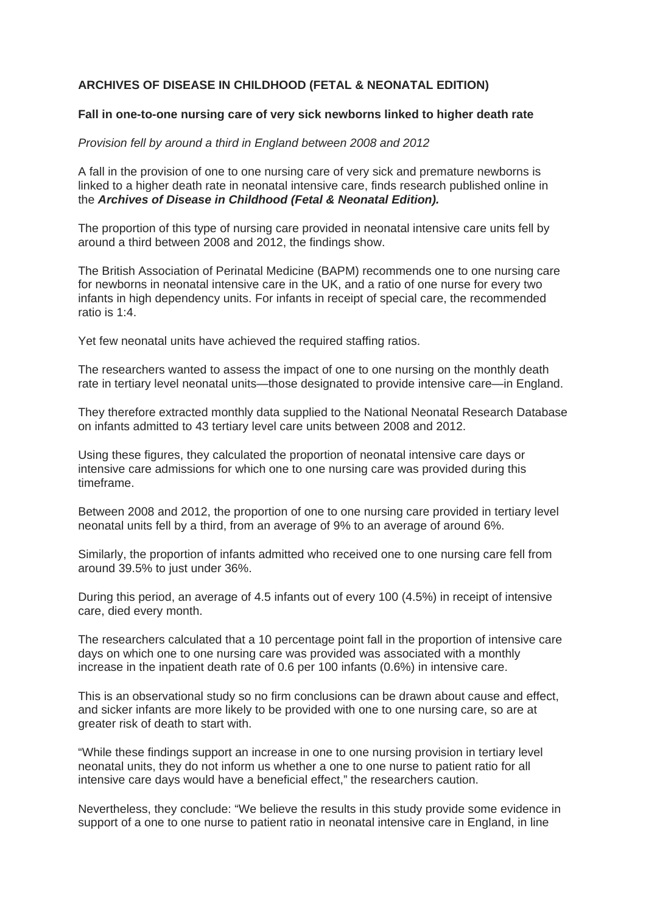## **ARCHIVES OF DISEASE IN CHILDHOOD (FETAL & NEONATAL EDITION)**

## **Fall in one-to-one nursing care of very sick newborns linked to higher death rate**

## *Provision fell by around a third in England between 2008 and 2012*

A fall in the provision of one to one nursing care of very sick and premature newborns is linked to a higher death rate in neonatal intensive care, finds research published online in the *Archives of Disease in Childhood (Fetal & Neonatal Edition).*

The proportion of this type of nursing care provided in neonatal intensive care units fell by around a third between 2008 and 2012, the findings show.

The British Association of Perinatal Medicine (BAPM) recommends one to one nursing care for newborns in neonatal intensive care in the UK, and a ratio of one nurse for every two infants in high dependency units. For infants in receipt of special care, the recommended ratio is 1:4.

Yet few neonatal units have achieved the required staffing ratios.

The researchers wanted to assess the impact of one to one nursing on the monthly death rate in tertiary level neonatal units—those designated to provide intensive care—in England.

They therefore extracted monthly data supplied to the National Neonatal Research Database on infants admitted to 43 tertiary level care units between 2008 and 2012.

Using these figures, they calculated the proportion of neonatal intensive care days or intensive care admissions for which one to one nursing care was provided during this timeframe.

Between 2008 and 2012, the proportion of one to one nursing care provided in tertiary level neonatal units fell by a third, from an average of 9% to an average of around 6%.

Similarly, the proportion of infants admitted who received one to one nursing care fell from around 39.5% to just under 36%.

During this period, an average of 4.5 infants out of every 100 (4.5%) in receipt of intensive care, died every month.

The researchers calculated that a 10 percentage point fall in the proportion of intensive care days on which one to one nursing care was provided was associated with a monthly increase in the inpatient death rate of 0.6 per 100 infants (0.6%) in intensive care.

This is an observational study so no firm conclusions can be drawn about cause and effect, and sicker infants are more likely to be provided with one to one nursing care, so are at greater risk of death to start with.

"While these findings support an increase in one to one nursing provision in tertiary level neonatal units, they do not inform us whether a one to one nurse to patient ratio for all intensive care days would have a beneficial effect," the researchers caution.

Nevertheless, they conclude: "We believe the results in this study provide some evidence in support of a one to one nurse to patient ratio in neonatal intensive care in England, in line